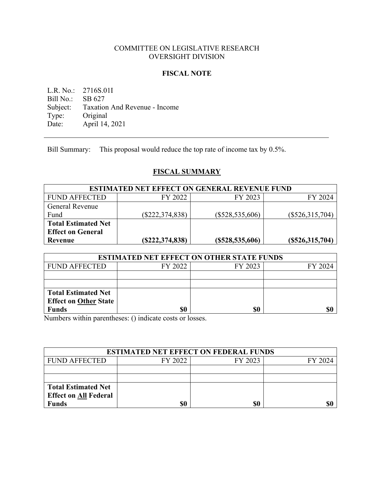# COMMITTEE ON LEGISLATIVE RESEARCH OVERSIGHT DIVISION

## **FISCAL NOTE**

L.R. No.: 2716S.01I<br>Bill No.: SB 627 Bill No.: Subject: Taxation And Revenue - Income<br>Type: Original Type: Original<br>Date: April 14, April 14, 2021

Bill Summary: This proposal would reduce the top rate of income tax by 0.5%.

# **FISCAL SUMMARY**

| <b>ESTIMATED NET EFFECT ON GENERAL REVENUE FUND</b> |                   |                   |                   |  |  |
|-----------------------------------------------------|-------------------|-------------------|-------------------|--|--|
| <b>FUND AFFECTED</b>                                | FY 2022           | FY 2023           | FY 2024           |  |  |
| <b>General Revenue</b>                              |                   |                   |                   |  |  |
| Fund                                                | $(\$222,374,838)$ | $(\$528,535,606)$ | $(\$526,315,704)$ |  |  |
| <b>Total Estimated Net</b>                          |                   |                   |                   |  |  |
| <b>Effect on General</b>                            |                   |                   |                   |  |  |
| Revenue                                             | (S222, 374, 838)  | (S528, 535, 606)  | (S526,315,704)    |  |  |

| <b>ESTIMATED NET EFFECT ON OTHER STATE FUNDS</b> |         |         |         |  |
|--------------------------------------------------|---------|---------|---------|--|
| <b>FUND AFFECTED</b>                             | FY 2022 | FY 2023 | FY 2024 |  |
|                                                  |         |         |         |  |
|                                                  |         |         |         |  |
| <b>Total Estimated Net</b>                       |         |         |         |  |
| <b>Effect on Other State</b>                     |         |         |         |  |
| <b>Funds</b>                                     | \$0     | \$0     | \$0     |  |

Numbers within parentheses: () indicate costs or losses.

| <b>ESTIMATED NET EFFECT ON FEDERAL FUNDS</b> |         |         |         |  |
|----------------------------------------------|---------|---------|---------|--|
| <b>FUND AFFECTED</b>                         | FY 2022 | FY 2023 | FY 2024 |  |
|                                              |         |         |         |  |
|                                              |         |         |         |  |
| <b>Total Estimated Net</b>                   |         |         |         |  |
| <b>Effect on All Federal</b>                 |         |         |         |  |
| <b>Funds</b>                                 | \$0     | \$0     | \$0     |  |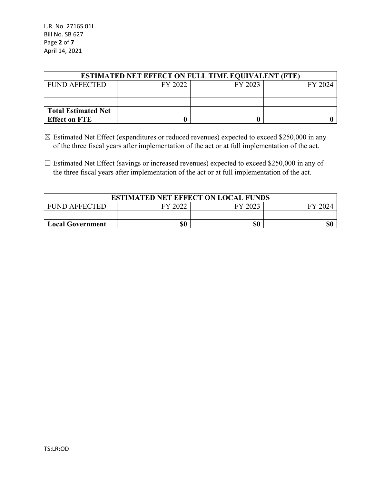| <b>ESTIMATED NET EFFECT ON FULL TIME EQUIVALENT (FTE)</b> |         |         |         |  |  |
|-----------------------------------------------------------|---------|---------|---------|--|--|
| FUND AFFECTED                                             | FY 2022 | FY 2023 | FY 2024 |  |  |
|                                                           |         |         |         |  |  |
|                                                           |         |         |         |  |  |
| <b>Total Estimated Net</b>                                |         |         |         |  |  |
| <b>Effect on FTE</b>                                      |         |         |         |  |  |

- ☒ Estimated Net Effect (expenditures or reduced revenues) expected to exceed \$250,000 in any of the three fiscal years after implementation of the act or at full implementation of the act.
- □ Estimated Net Effect (savings or increased revenues) expected to exceed \$250,000 in any of the three fiscal years after implementation of the act or at full implementation of the act.

| <b>ESTIMATED NET EFFECT ON LOCAL FUNDS</b>              |  |  |  |  |  |
|---------------------------------------------------------|--|--|--|--|--|
| FY 2022<br>FY 2023<br><b>FUND AFFECTED</b><br>$FY$ 202. |  |  |  |  |  |
|                                                         |  |  |  |  |  |
| \$0<br>\$0<br><b>Local Government</b>                   |  |  |  |  |  |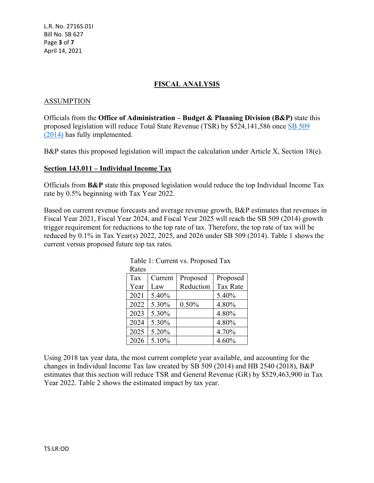L.R. No. 2716S.01I Bill No. SB 627 Page **3** of **7** April 14, 2021

# **FISCAL ANALYSIS**

#### ASSUMPTION

Officials from the **Office of Administration – Budget & Planning Division (B&P)** state this proposed legislation will reduce Total State Revenue (TSR) by \$524,141,586 once [SB 509](https://www.senate.mo.gov/14info/BTS_Web/Bill.aspx?SessionType=R&BillID=27723520)  [\(2014\)](https://www.senate.mo.gov/14info/BTS_Web/Bill.aspx?SessionType=R&BillID=27723520) has fully implemented.

B&P states this proposed legislation will impact the calculation under Article X, Section 18(e).

## **Section 143.011 – Individual Income Tax**

Officials from **B&P** state this proposed legislation would reduce the top Individual Income Tax rate by 0.5% beginning with Tax Year 2022.

Based on current revenue forecasts and average revenue growth, B&P estimates that revenues in Fiscal Year 2021, Fiscal Year 2024, and Fiscal Year 2025 will reach the SB 509 (2014) growth trigger requirement for reductions to the top rate of tax. Therefore, the top rate of tax will be reduced by 0.1% in Tax Year(s) 2022, 2025, and 2026 under SB 509 (2014). Table 1 shows the current versus proposed future top tax rates.

| Rates |         |           |                 |
|-------|---------|-----------|-----------------|
| Tax   | Current | Proposed  | Proposed        |
| Year  | Law     | Reduction | <b>Tax Rate</b> |
| 2021  | 5.40%   |           | 5.40%           |
| 2022  | 5.30%   | 0.50%     | 4.80%           |
| 2023  | 5.30%   |           | 4.80%           |
| 2024  | 5.30%   |           | 4.80%           |
| 2025  | 5.20%   |           | 4.70%           |
| 2026  | 5.10%   |           | 4.60%           |

| Table 1: Current vs. Proposed Tax |  |  |
|-----------------------------------|--|--|
| Rates                             |  |  |

Using 2018 tax year data, the most current complete year available, and accounting for the changes in Individual Income Tax law created by SB 509 (2014) and HB 2540 (2018), B&P estimates that this section will reduce TSR and General Revenue (GR) by \$529,463,900 in Tax Year 2022. Table 2 shows the estimated impact by tax year.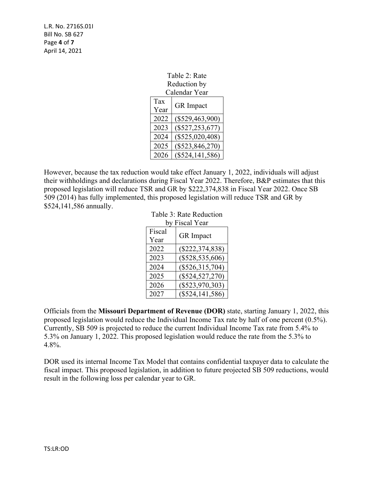L.R. No. 2716S.01I Bill No. SB 627 Page **4** of **7** April 14, 2021

| Table 2: Rate<br>Reduction by   |                     |  |  |
|---------------------------------|---------------------|--|--|
|                                 | Calendar Year       |  |  |
| Tax<br><b>GR</b> Impact<br>Year |                     |  |  |
| 2022                            | $(\$529,463,900)$   |  |  |
| 2023                            | $(\$527, 253, 677)$ |  |  |
| 2024                            | $(\$525,020,408)$   |  |  |
| 2025                            | $(\$523,846,270)$   |  |  |
| 2026                            | $(\$524, 141, 586)$ |  |  |

However, because the tax reduction would take effect January 1, 2022, individuals will adjust their withholdings and declarations during Fiscal Year 2022. Therefore, B&P estimates that this proposed legislation will reduce TSR and GR by \$222,374,838 in Fiscal Year 2022. Once SB 509 (2014) has fully implemented, this proposed legislation will reduce TSR and GR by \$524,141,586 annually.

| Table 3: Rate Reduction |                     |  |  |  |
|-------------------------|---------------------|--|--|--|
|                         | by Fiscal Year      |  |  |  |
| Fiscal                  | <b>GR</b> Impact    |  |  |  |
| Year                    |                     |  |  |  |
| 2022                    | $(\$222,374,838)$   |  |  |  |
| 2023                    | $(\$528,535,606)$   |  |  |  |
| 2024                    | $(\$526,315,704)$   |  |  |  |
| 2025                    | $(\$524,527,270)$   |  |  |  |
| 2026                    | $(\$523,970,303)$   |  |  |  |
| 2027                    | $(\$524, 141, 586)$ |  |  |  |

Officials from the **Missouri Department of Revenue (DOR)** state, starting January 1, 2022, this proposed legislation would reduce the Individual Income Tax rate by half of one percent (0.5%). Currently, SB 509 is projected to reduce the current Individual Income Tax rate from 5.4% to 5.3% on January 1, 2022. This proposed legislation would reduce the rate from the 5.3% to 4.8%.

DOR used its internal Income Tax Model that contains confidential taxpayer data to calculate the fiscal impact. This proposed legislation, in addition to future projected SB 509 reductions, would result in the following loss per calendar year to GR.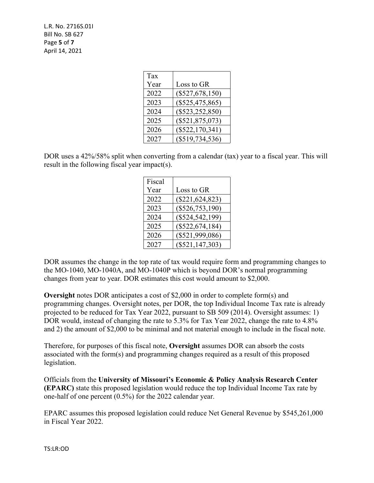L.R. No. 2716S.01I Bill No. SB 627 Page **5** of **7** April 14, 2021

| Tax  |                     |
|------|---------------------|
| Year | Loss to GR          |
| 2022 | $(\$527,678,150)$   |
| 2023 | $(\$525,475,865)$   |
| 2024 | $(\$523, 252, 850)$ |
| 2025 | $(\$521,875,073)$   |
| 2026 | $(\$522,170,341)$   |
| 2027 | $(\$519,734,536)$   |

DOR uses a 42%/58% split when converting from a calendar (tax) year to a fiscal year. This will result in the following fiscal year impact(s).

| Fiscal |                     |
|--------|---------------------|
| Year   | Loss to GR          |
| 2022   | $(\$221, 624, 823)$ |
| 2023   | $(\$526,753,190)$   |
| 2024   | $(\$524,542,199)$   |
| 2025   | $(\$522,674,184)$   |
| 2026   | $(\$521,999,086)$   |
| 2027   | $(\$521, 147, 303)$ |

DOR assumes the change in the top rate of tax would require form and programming changes to the MO-1040, MO-1040A, and MO-1040P which is beyond DOR's normal programming changes from year to year. DOR estimates this cost would amount to \$2,000.

**Oversight** notes DOR anticipates a cost of \$2,000 in order to complete form(s) and programming changes. Oversight notes, per DOR, the top Individual Income Tax rate is already projected to be reduced for Tax Year 2022, pursuant to SB 509 (2014). Oversight assumes: 1) DOR would, instead of changing the rate to 5.3% for Tax Year 2022, change the rate to 4.8% and 2) the amount of \$2,000 to be minimal and not material enough to include in the fiscal note.

Therefore, for purposes of this fiscal note, **Oversight** assumes DOR can absorb the costs associated with the form(s) and programming changes required as a result of this proposed legislation.

Officials from the **University of Missouri's Economic & Policy Analysis Research Center (EPARC)** state this proposed legislation would reduce the top Individual Income Tax rate by one-half of one percent (0.5%) for the 2022 calendar year.

EPARC assumes this proposed legislation could reduce Net General Revenue by \$545,261,000 in Fiscal Year 2022.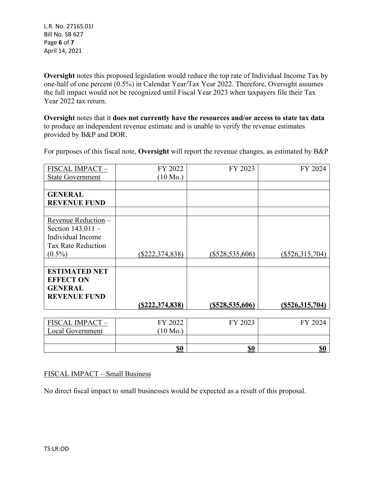L.R. No. 2716S.01I Bill No. SB 627 Page **6** of **7** April 14, 2021

**Oversight** notes this proposed legislation would reduce the top rate of Individual Income Tax by one-half of one percent (0.5%) in Calendar Year/Tax Year 2022. Therefore, Oversight assumes the full impact would not be recognized until Fiscal Year 2023 when taxpayers file their Tax Year 2022 tax return.

**Oversight** notes that it **does not currently have the resources and/or access to state tax data** to produce an independent revenue estimate and is unable to verify the revenue estimates provided by B&P and DOR.

For purposes of this fiscal note, **Oversight** will report the revenue changes, as estimated by B&P

| FISCAL IMPACT-            | FY 2022            | FY 2023           | FY 2024           |
|---------------------------|--------------------|-------------------|-------------------|
| <b>State Government</b>   | $(10 \text{ Mo.})$ |                   |                   |
|                           |                    |                   |                   |
| <b>GENERAL</b>            |                    |                   |                   |
| <b>REVENUE FUND</b>       |                    |                   |                   |
|                           |                    |                   |                   |
| Revenue Reduction -       |                    |                   |                   |
| Section $143.011 -$       |                    |                   |                   |
| Individual Income         |                    |                   |                   |
| <b>Tax Rate Reduction</b> |                    |                   |                   |
| $(0.5\%)$                 | $(\$222,374,838)$  | $(\$528,535,606)$ | $(\$526,315,704)$ |
|                           |                    |                   |                   |
| <b>ESTIMATED NET</b>      |                    |                   |                   |
| <b>EFFECT ON</b>          |                    |                   |                   |
| <b>GENERAL</b>            |                    |                   |                   |
| <b>REVENUE FUND</b>       |                    |                   |                   |
|                           | (S222, 374, 838)   | (S528, 535, 606)  | (S526, 315, 704)  |
|                           |                    |                   |                   |
| FISCAL IMPACT-            | FY 2022            | FY 2023           | FY 2024           |
| Local Government          | $(10 \text{ Mo.})$ |                   |                   |
|                           |                    |                   |                   |
|                           | \$0                | <u>\$0</u>        | <b>\$0</b>        |

## FISCAL IMPACT – Small Business

No direct fiscal impact to small businesses would be expected as a result of this proposal.